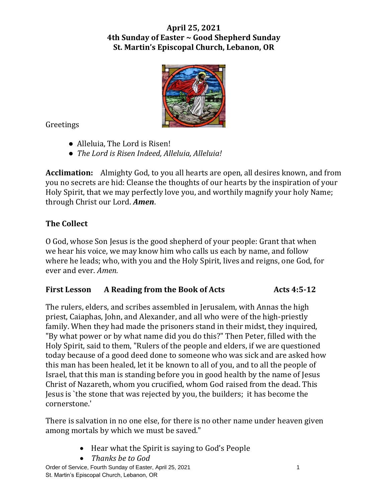# **April 25, 2021 4th Sunday of Easter ~ Good Shepherd Sunday St. Martin's Episcopal Church, Lebanon, OR**



Greetings

- Alleluia, The Lord is Risen!
- *The Lord is Risen Indeed, Alleluia, Alleluia!*

**Acclimation:** Almighty God, to you all hearts are open, all desires known, and from you no secrets are hid: Cleanse the thoughts of our hearts by the inspiration of your Holy Spirit, that we may perfectly love you, and worthily magnify your holy Name; through Christ our Lord. *Amen*.

# **The Collect**

O God, whose Son Jesus is the good shepherd of your people: Grant that when we hear his voice, we may know him who calls us each by name, and follow where he leads; who, with you and the Holy Spirit, lives and reigns, one God, for ever and ever. *Amen.*

# **First Lesson A Reading from the Book of Acts Acts 4:5-12**

The rulers, elders, and scribes assembled in Jerusalem, with Annas the high priest, Caiaphas, John, and Alexander, and all who were of the high-priestly family. When they had made the prisoners stand in their midst, they inquired, "By what power or by what name did you do this?" Then Peter, filled with the Holy Spirit, said to them, "Rulers of the people and elders, if we are questioned today because of a good deed done to someone who was sick and are asked how this man has been healed, let it be known to all of you, and to all the people of Israel, that this man is standing before you in good health by the name of Jesus Christ of Nazareth, whom you crucified, whom God raised from the dead. This Jesus is `the stone that was rejected by you, the builders; it has become the cornerstone.'

There is salvation in no one else, for there is no other name under heaven given among mortals by which we must be saved."

- Hear what the Spirit is saying to God's People
- *Thanks be to God*

Order of Service, Fourth Sunday of Easter, April 25, 2021 1997 1998 St. Martin's Episcopal Church, Lebanon, OR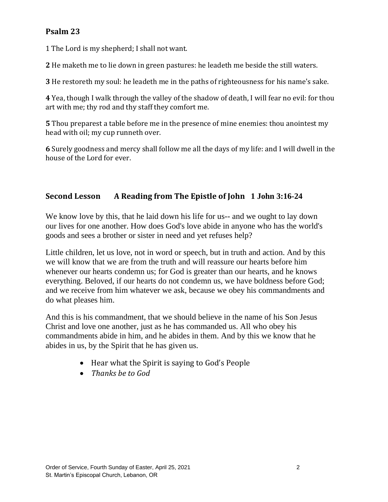# **Psalm 23**

1 The Lord is my shepherd; I shall not want.

**2** He maketh me to lie down in green pastures: he leadeth me beside the still waters.

**3** He restoreth my soul: he leadeth me in the paths of righteousness for his name's sake.

**4** Yea, though I walk through the valley of the shadow of death, I will fear no evil: for thou art with me; thy rod and thy staff they comfort me.

**5** Thou preparest a table before me in the presence of mine enemies: thou anointest my head with oil; my cup runneth over.

**6** Surely goodness and mercy shall follow me all the days of my life: and I will dwell in the house of the Lord for ever.

## **Second Lesson A Reading from The Epistle of John 1 John 3:16-24**

We know love by this, that he laid down his life for us-- and we ought to lay down our lives for one another. How does God's love abide in anyone who has the world's goods and sees a brother or sister in need and yet refuses help?

Little children, let us love, not in word or speech, but in truth and action. And by this we will know that we are from the truth and will reassure our hearts before him whenever our hearts condemn us; for God is greater than our hearts, and he knows everything. Beloved, if our hearts do not condemn us, we have boldness before God; and we receive from him whatever we ask, because we obey his commandments and do what pleases him.

And this is his commandment, that we should believe in the name of his Son Jesus Christ and love one another, just as he has commanded us. All who obey his commandments abide in him, and he abides in them. And by this we know that he abides in us, by the Spirit that he has given us.

- Hear what the Spirit is saying to God's People
- *Thanks be to God*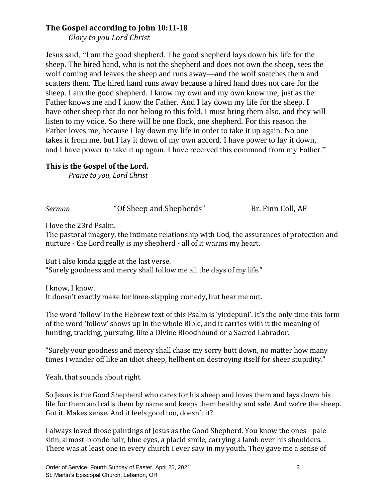## **The Gospel according to John 10:11-18**

*Glory to you Lord Christ*

Jesus said, "I am the good shepherd. The good shepherd lays down his life for the sheep. The hired hand, who is not the shepherd and does not own the sheep, sees the wolf coming and leaves the sheep and runs away—and the wolf snatches them and scatters them. The hired hand runs away because a hired hand does not care for the sheep. I am the good shepherd. I know my own and my own know me, just as the Father knows me and I know the Father. And I lay down my life for the sheep. I have other sheep that do not belong to this fold. I must bring them also, and they will listen to my voice. So there will be one flock, one shepherd. For this reason the Father loves me, because I lay down my life in order to take it up again. No one takes it from me, but I lay it down of my own accord. I have power to lay it down, and I have power to take it up again. I have received this command from my Father."

#### **This is the Gospel of the Lord,**

*Praise to you, Lord Christ*

*Sermon* "Of Sheep and Shepherds" Br. Finn Coll, AF

I love the 23rd Psalm.

The pastoral imagery, the intimate relationship with God, the assurances of protection and nurture - the Lord really is my shepherd - all of it warms my heart.

But I also kinda giggle at the last verse. "Surely goodness and mercy shall follow me all the days of my life."

I know, I know. It doesn't exactly make for knee-slapping comedy, but hear me out.

The word 'follow' in the Hebrew text of this Psalm is 'yirdepuni'. It's the only time this form of the word 'follow' shows up in the whole Bible, and it carries with it the meaning of hunting, tracking, pursuing, like a Divine Bloodhound or a Sacred Labrador.

"Surely your goodness and mercy shall chase my sorry butt down, no matter how many times I wander off like an idiot sheep, hellbent on destroying itself for sheer stupidity."

Yeah, that sounds about right.

So Jesus is the Good Shepherd who cares for his sheep and loves them and lays down his life for them and calls them by name and keeps them healthy and safe. And we're the sheep. Got it. Makes sense. And it feels good too, doesn't it?

I always loved those paintings of Jesus as the Good Shepherd. You know the ones - pale skin, almost-blonde hair, blue eyes, a placid smile, carrying a lamb over his shoulders. There was at least one in every church I ever saw in my youth. They gave me a sense of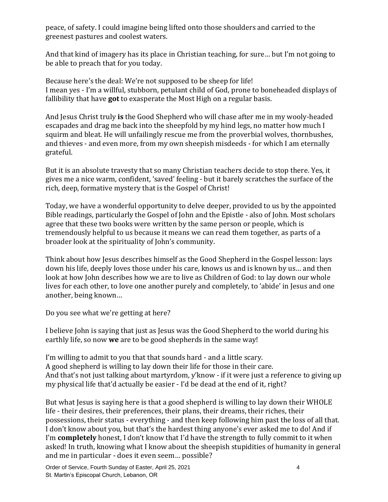peace, of safety. I could imagine being lifted onto those shoulders and carried to the greenest pastures and coolest waters.

And that kind of imagery has its place in Christian teaching, for sure… but I'm not going to be able to preach that for you today.

Because here's the deal: We're not supposed to be sheep for life! I mean yes - I'm a willful, stubborn, petulant child of God, prone to boneheaded displays of fallibility that have **got** to exasperate the Most High on a regular basis.

And Jesus Christ truly **is** the Good Shepherd who will chase after me in my wooly-headed escapades and drag me back into the sheepfold by my hind legs, no matter how much I squirm and bleat. He will unfailingly rescue me from the proverbial wolves, thornbushes, and thieves - and even more, from my own sheepish misdeeds - for which I am eternally grateful.

But it is an absolute travesty that so many Christian teachers decide to stop there. Yes, it gives me a nice warm, confident, 'saved' feeling - but it barely scratches the surface of the rich, deep, formative mystery that is the Gospel of Christ!

Today, we have a wonderful opportunity to delve deeper, provided to us by the appointed Bible readings, particularly the Gospel of John and the Epistle - also of John. Most scholars agree that these two books were written by the same person or people, which is tremendously helpful to us because it means we can read them together, as parts of a broader look at the spirituality of John's community.

Think about how Jesus describes himself as the Good Shepherd in the Gospel lesson: lays down his life, deeply loves those under his care, knows us and is known by us… and then look at how John describes how we are to live as Children of God: to lay down our whole lives for each other, to love one another purely and completely, to 'abide' in Jesus and one another, being known…

Do you see what we're getting at here?

I believe John is saying that just as Jesus was the Good Shepherd to the world during his earthly life, so now **we** are to be good shepherds in the same way!

I'm willing to admit to you that that sounds hard - and a little scary. A good shepherd is willing to lay down their life for those in their care. And that's not just talking about martyrdom, y'know - if it were just a reference to giving up my physical life that'd actually be easier - I'd be dead at the end of it, right?

But what Jesus is saying here is that a good shepherd is willing to lay down their WHOLE life - their desires, their preferences, their plans, their dreams, their riches, their possessions, their status - everything - and then keep following him past the loss of all that. I don't know about you, but that's the hardest thing anyone's ever asked me to do! And if I'm **completely** honest, I don't know that I'd have the strength to fully commit to it when asked! In truth, knowing what I know about the sheepish stupidities of humanity in general and me in particular - does it even seem… possible?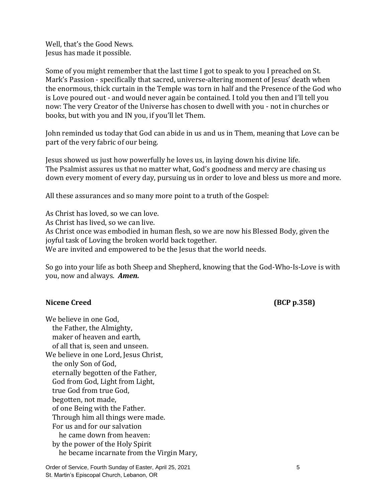Well, that's the Good News. Jesus has made it possible.

Some of you might remember that the last time I got to speak to you I preached on St. Mark's Passion - specifically that sacred, universe-altering moment of Jesus' death when the enormous, thick curtain in the Temple was torn in half and the Presence of the God who is Love poured out - and would never again be contained. I told you then and I'll tell you now: The very Creator of the Universe has chosen to dwell with you - not in churches or books, but with you and IN you, if you'll let Them.

John reminded us today that God can abide in us and us in Them, meaning that Love can be part of the very fabric of our being.

Jesus showed us just how powerfully he loves us, in laying down his divine life. The Psalmist assures us that no matter what, God's goodness and mercy are chasing us down every moment of every day, pursuing us in order to love and bless us more and more.

All these assurances and so many more point to a truth of the Gospel:

As Christ has loved, so we can love. As Christ has lived, so we can live. As Christ once was embodied in human flesh, so we are now his Blessed Body, given the joyful task of Loving the broken world back together. We are invited and empowered to be the Jesus that the world needs.

So go into your life as both Sheep and Shepherd, knowing that the God-Who-Is-Love is with you, now and always. *Amen.*

#### Nicene Creed **(BCP p.358)**

We believe in one God, the Father, the Almighty, maker of heaven and earth, of all that is, seen and unseen. We believe in one Lord, Jesus Christ, the only Son of God, eternally begotten of the Father, God from God, Light from Light, true God from true God, begotten, not made, of one Being with the Father. Through him all things were made. For us and for our salvation he came down from heaven: by the power of the Holy Spirit he became incarnate from the Virgin Mary,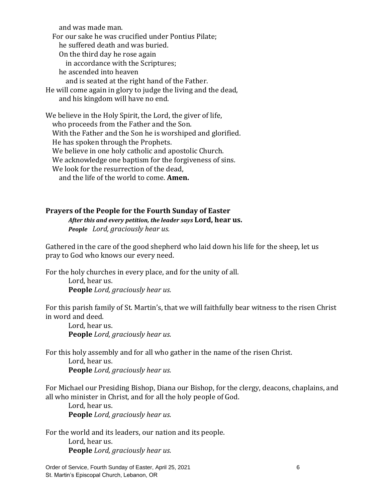and was made man. For our sake he was crucified under Pontius Pilate; he suffered death and was buried. On the third day he rose again in accordance with the Scriptures; he ascended into heaven and is seated at the right hand of the Father.

He will come again in glory to judge the living and the dead, and his kingdom will have no end.

We believe in the Holy Spirit, the Lord, the giver of life, who proceeds from the Father and the Son. With the Father and the Son he is worshiped and glorified. He has spoken through the Prophets. We believe in one holy catholic and apostolic Church. We acknowledge one baptism for the forgiveness of sins. We look for the resurrection of the dead. and the life of the world to come. **Amen.**

#### **Prayers of the People for the Fourth Sunday of Easter**

*After this and every petition, the leader says* **Lord, hear us.** *People**Lord, graciously hear us.*

Gathered in the care of the good shepherd who laid down his life for the sheep, let us pray to God who knows our every need.

For the holy churches in every place, and for the unity of all. Lord, hear us. **People** *Lord, graciously hear us.*

For this parish family of St. Martin's, that we will faithfully bear witness to the risen Christ in word and deed.

Lord, hear us. **People** *Lord, graciously hear us.*

For this holy assembly and for all who gather in the name of the risen Christ.

Lord, hear us.

**People** *Lord, graciously hear us.*

For Michael our Presiding Bishop, Diana our Bishop, for the clergy, deacons, chaplains, and all who minister in Christ, and for all the holy people of God.

Lord, hear us. **People** *Lord, graciously hear us.*

For the world and its leaders, our nation and its people. Lord, hear us. **People** *Lord, graciously hear us.*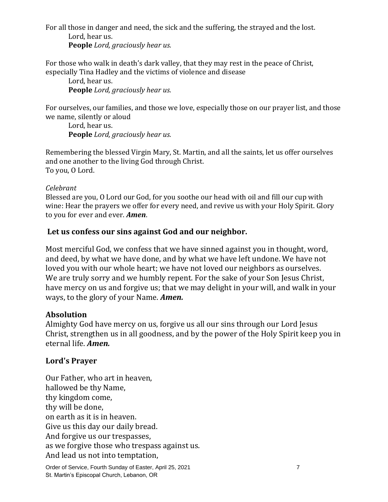For all those in danger and need, the sick and the suffering, the strayed and the lost. Lord, hear us.

**People** *Lord, graciously hear us.*

For those who walk in death's dark valley, that they may rest in the peace of Christ, especially Tina Hadley and the victims of violence and disease

Lord, hear us. **People** *Lord, graciously hear us.*

For ourselves, our families, and those we love, especially those on our prayer list, and those we name, silently or aloud

Lord, hear us. **People** *Lord, graciously hear us.*

Remembering the blessed Virgin Mary, St. Martin, and all the saints, let us offer ourselves and one another to the living God through Christ. To you, O Lord.

#### *Celebrant*

Blessed are you, O Lord our God, for you soothe our head with oil and fill our cup with wine: Hear the prayers we offer for every need, and revive us with your Holy Spirit. Glory to you for ever and ever. *Amen*.

## **Let us confess our sins against God and our neighbor.**

Most merciful God, we confess that we have sinned against you in thought, word, and deed, by what we have done, and by what we have left undone. We have not loved you with our whole heart; we have not loved our neighbors as ourselves. We are truly sorry and we humbly repent. For the sake of your Son Jesus Christ, have mercy on us and forgive us; that we may delight in your will, and walk in your ways, to the glory of your Name. *Amen.*

## **Absolution**

Almighty God have mercy on us, forgive us all our sins through our Lord Jesus Christ, strengthen us in all goodness, and by the power of the Holy Spirit keep you in eternal life. *Amen.*

## **Lord's Prayer**

Our Father, who art in heaven, hallowed be thy Name, thy kingdom come, thy will be done, on earth as it is in heaven. Give us this day our daily bread. And forgive us our trespasses, as we forgive those who trespass against us. And lead us not into temptation,